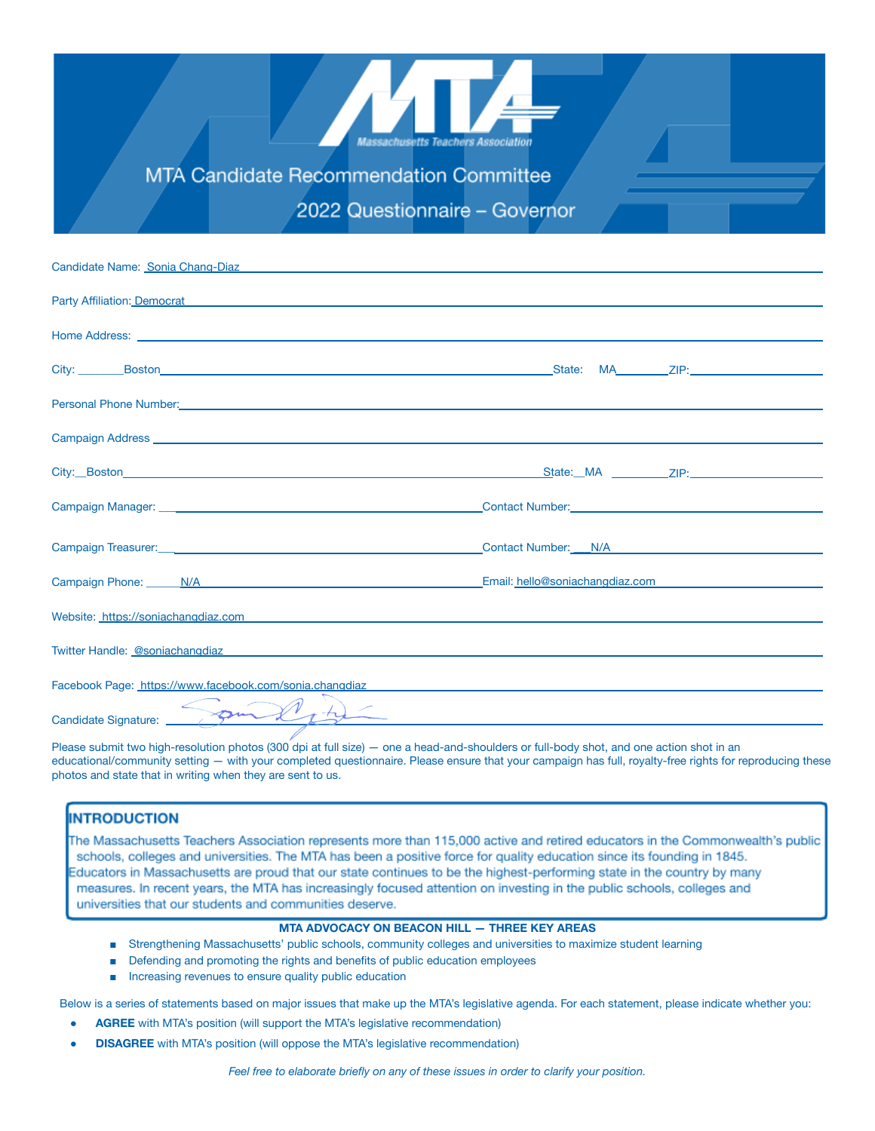

MTA Candidate Recommendation Committee

2022 Questionnaire - Governor

| Candidate Name: Sonia Chang-Diaz <b>Canadidate Science Control Control Control Control Control Control Control Control Control Control Control Control Control Control Control Control Control Control Control Control Control C</b> |                                                                                                                                                                                                                                |
|--------------------------------------------------------------------------------------------------------------------------------------------------------------------------------------------------------------------------------------|--------------------------------------------------------------------------------------------------------------------------------------------------------------------------------------------------------------------------------|
| Party Affiliation: Democrat <b>Contract Contract Contract Contract Contract Contract Contract Contract Contract Contract Contract Contract Contract Contract Contract Contract Contract Contract Contract Contract Contract Cont</b> |                                                                                                                                                                                                                                |
| Home Address: <u>experimental and a series of the series of the series of the series of the series of the series of the series of the series of the series of the series of the series of the series of the series of the series</u> |                                                                                                                                                                                                                                |
|                                                                                                                                                                                                                                      | City: Boston Boston City: Boston Boston City: Boston Boston Boston City: City: Boston Boston Boston Boston Boston Boston Boston Boston Boston Boston Boston Boston Boston Boston Boston Boston Boston Boston Boston Boston Bos |
| Personal Phone Number: <u>Contract Communication of the Contract Communication</u> of the Contract Communication of the                                                                                                              |                                                                                                                                                                                                                                |
|                                                                                                                                                                                                                                      |                                                                                                                                                                                                                                |
|                                                                                                                                                                                                                                      |                                                                                                                                                                                                                                |
|                                                                                                                                                                                                                                      | LOontact Number: Manual Manual Manual Manual Manual Manual Manual Manual Manual Manual Manual Manual Manual                                                                                                                    |
| Campaign Treasurer: Campaign Treasurer: Campaign Treasurer: Campaign Treasurer:                                                                                                                                                      | Contact Number: N/A NVA Number and Second Second Second Second Second Second Second Second Second Second Second Second Second Second Second Second Second Second Second Second Second Second Second Second Second Second Secon |
|                                                                                                                                                                                                                                      | Campaign Phone: N/A New York New York 2014 19:00 Campaign Phone: N/A New York 2014 19:00 New York 2014 19:00 New York 2014 19:00 New York 2014 19:00 New York 2014 19:00 New York 2014 19:00 New York 2014 19:00 New York 2014 |
| Website: https://soniachangdiaz.com expression and a state of the state of the state of the state of the state of the state of the state of the state of the state of the state of the state of the state of the state of the        |                                                                                                                                                                                                                                |
| Twitter Handle: @soniachangdiaz experience and a state of the control of the control of the control of the control of the control of the control of the control of the control of the control of the control of the control of       |                                                                                                                                                                                                                                |
| Facebook Page: https://www.facebook.com/sonia.changdiaz entertainments.com/sonial/entertainments.com/sonial/entertainments.com/sonial/entertainments.com/sonial/entertainments.com/sonial/entertainments.com/sonial/entertainm       |                                                                                                                                                                                                                                |
| $M_{\bullet} + \Delta$<br>Candidate Signature:                                                                                                                                                                                       |                                                                                                                                                                                                                                |

Please submit two high-resolution photos (300 dpi at full size) — one a head-and-shoulders or full-body shot, and one action shot in an educational/community setting — with your completed questionnaire. Please ensure that your campaign has full, royalty-free rights for reproducing these photos and state that in writing when they are sent to us.

### **INTRODUCTION**

The Massachusetts Teachers Association represents more than 115,000 active and retired educators in the Commonwealth's public schools, colleges and universities. The MTA has been a positive force for quality education since its founding in 1845. Educators in Massachusetts are proud that our state continues to be the highest-performing state in the country by many measures. In recent years, the MTA has increasingly focused attention on investing in the public schools, colleges and universities that our students and communities deserve.

### **MTA ADVOCACY ON BEACON HILL — THREE KEY AREAS**

- Strengthening Massachusetts' public schools, community colleges and universities to maximize student learning
- Defending and promoting the rights and benefits of public education employees
- Increasing revenues to ensure quality public education

Below is a series of statements based on major issues that make up the MTA's legislative agenda. For each statement, please indicate whether you:

- **AGREE** with MTA's position (will support the MTA's legislative recommendation)
- **DISAGREE** with MTA's position (will oppose the MTA's legislative recommendation)

*Feel free to elaborate briefly on any of these issues in order to clarify your position.*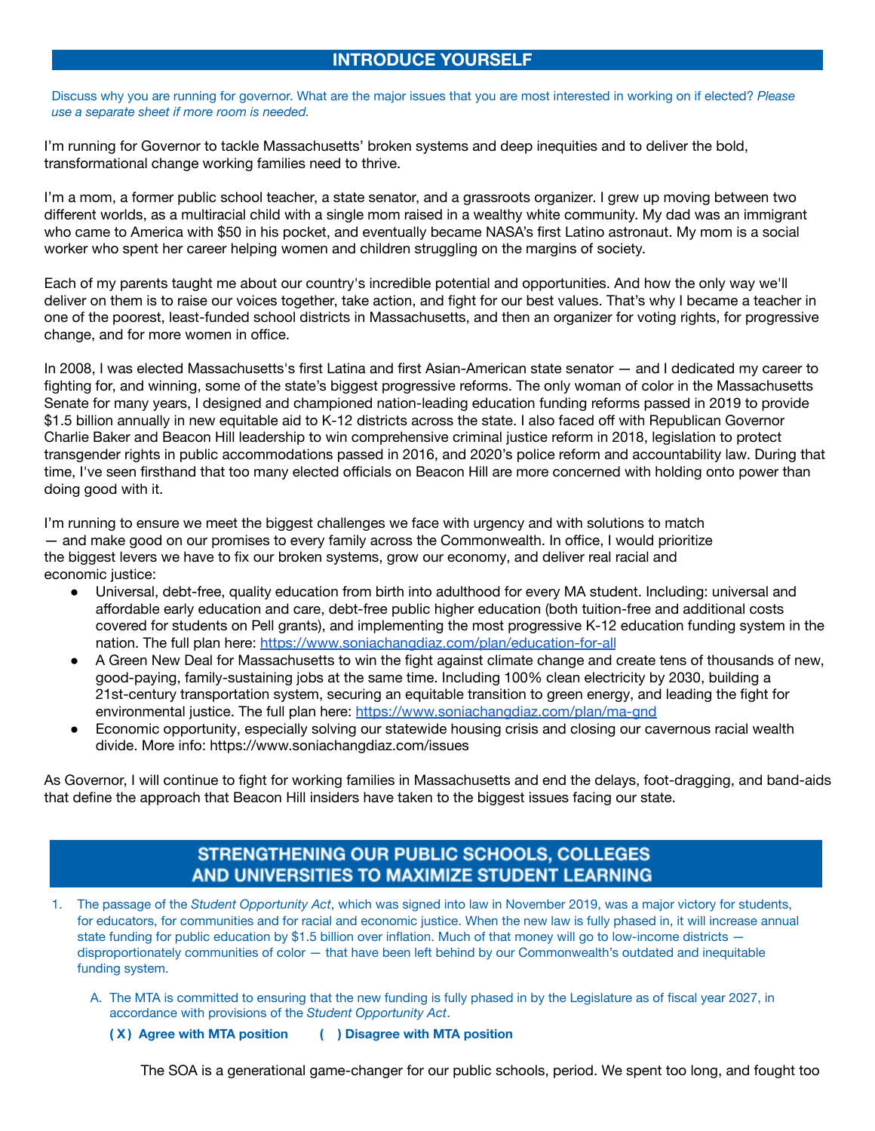# **INTRODUCE YOURSELF**

Discuss why you are running for governor. What are the major issues that you are most interested in working on if elected? *Please use a separate sheet if more room is needed.*

I'm running for Governor to tackle Massachusetts' broken systems and deep inequities and to deliver the bold, transformational change working families need to thrive.

I'm a mom, a former public school teacher, a state senator, and a grassroots organizer. I grew up moving between two different worlds, as a multiracial child with a single mom raised in a wealthy white community. My dad was an immigrant who came to America with \$50 in his pocket, and eventually became NASA's first Latino astronaut. My mom is a social worker who spent her career helping women and children struggling on the margins of society.

Each of my parents taught me about our country's incredible potential and opportunities. And how the only way we'll deliver on them is to raise our voices together, take action, and fight for our best values. That's why I became a teacher in one of the poorest, least-funded school districts in Massachusetts, and then an organizer for voting rights, for progressive change, and for more women in office.

In 2008, I was elected Massachusetts's first Latina and first Asian-American state senator — and I dedicated my career to fighting for, and winning, some of the state's biggest progressive reforms. The only woman of color in the Massachusetts Senate for many years, I designed and championed nation-leading education funding reforms passed in 2019 to provide \$1.5 billion annually in new equitable aid to K-12 districts across the state. I also faced off with Republican Governor Charlie Baker and Beacon Hill leadership to win comprehensive criminal justice reform in 2018, legislation to protect transgender rights in public accommodations passed in 2016, and 2020's police reform and accountability law. During that time, I've seen firsthand that too many elected officials on Beacon Hill are more concerned with holding onto power than doing good with it.

I'm running to ensure we meet the biggest challenges we face with urgency and with solutions to match — and make good on our promises to every family across the Commonwealth. In office, I would prioritize the biggest levers we have to fix our broken systems, grow our economy, and deliver real racial and economic justice:

- Universal, debt-free, quality education from birth into adulthood for every MA student. Including: universal and affordable early education and care, debt-free public higher education (both tuition-free and additional costs covered for students on Pell grants), and implementing the most progressive K-12 education funding system in the nation. The full plan here: <https://www.soniachangdiaz.com/plan/education-for-all>
- A Green New Deal for Massachusetts to win the fight against climate change and create tens of thousands of new, good-paying, family-sustaining jobs at the same time. Including 100% clean electricity by 2030, building a 21st-century transportation system, securing an equitable transition to green energy, and leading the fight for environmental justice. The full plan here: <https://www.soniachangdiaz.com/plan/ma-gnd>
- Economic opportunity, especially solving our statewide housing crisis and closing our cavernous racial wealth divide. More info: https://www.soniachangdiaz.com/issues

As Governor, I will continue to fight for working families in Massachusetts and end the delays, foot-dragging, and band-aids that define the approach that Beacon Hill insiders have taken to the biggest issues facing our state.

# STRENGTHENING OUR PUBLIC SCHOOLS, COLLEGES AND UNIVERSITIES TO MAXIMIZE STUDENT LEARNING

- 1. The passage of the *Student Opportunity Act*, which was signed into law in November 2019, was a major victory for students, for educators, for communities and for racial and economic justice. When the new law is fully phased in, it will increase annual state funding for public education by \$1.5 billion over inflation. Much of that money will go to low-income districts disproportionately communities of color — that have been left behind by our Commonwealth's outdated and inequitable funding system.
	- A. The MTA is committed to ensuring that the new funding is fully phased in by the Legislature as of fiscal year 2027, in accordance with provisions of the *Student Opportunity Act*.
		- **( X ) Agree with MTA position ( ) Disagree with MTA position**

The SOA is a generational game-changer for our public schools, period. We spent too long, and fought too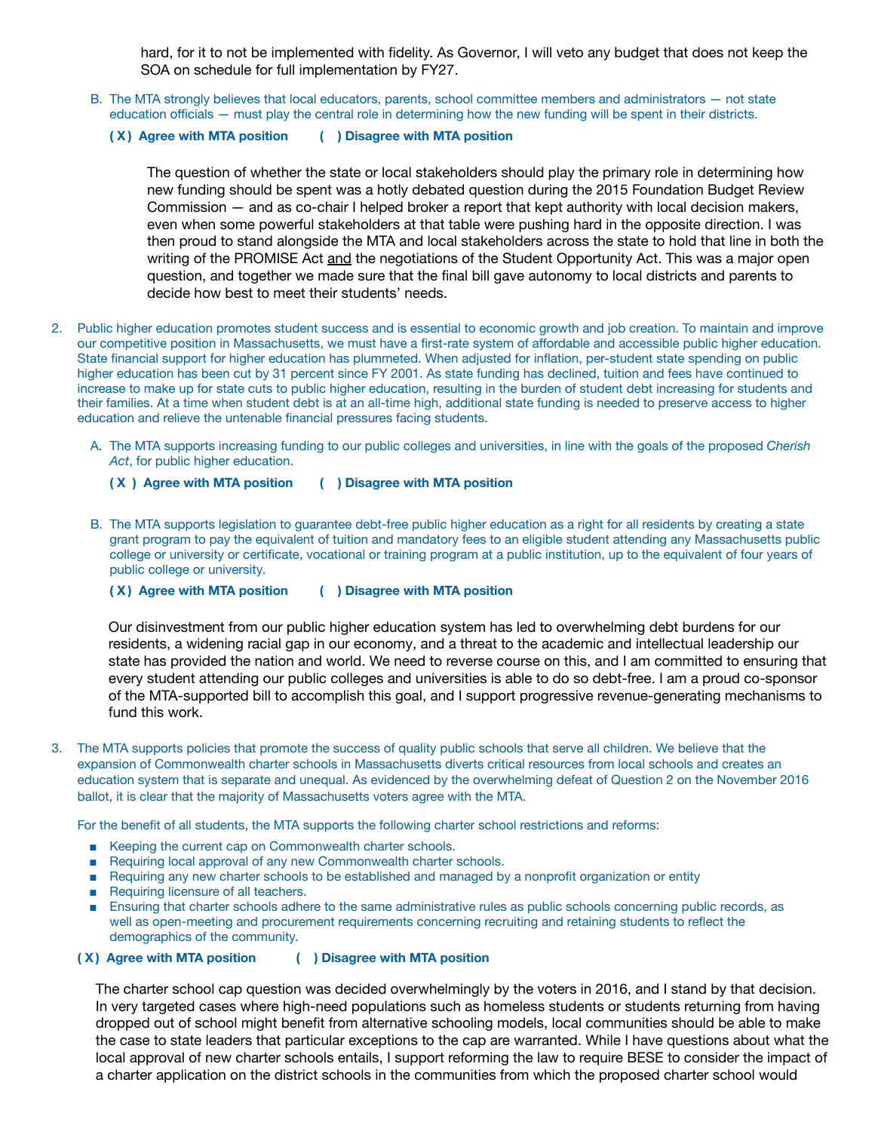hard, for it to not be implemented with fidelity. As Governor, I will veto any budget that does not keep the SOA on schedule for full implementation by FY27.

- B. The MTA strongly believes that local educators, parents, school committee members and administrators not state education officials — must play the central role in determining how the new funding will be spent in their districts.
	- **( X ) Agree with MTA position ( ) Disagree with MTA position**

The question of whether the state or local stakeholders should play the primary role in determining how new funding should be spent was a hotly debated question during the 2015 Foundation Budget Review Commission — and as co-chair I helped broker a report that kept authority with local decision makers, even when some powerful stakeholders at that table were pushing hard in the opposite direction. I was then proud to stand alongside the MTA and local stakeholders across the state to hold that line in both the writing of the PROMISE Act and the negotiations of the Student Opportunity Act. This was a major open question, and together we made sure that the final bill gave autonomy to local districts and parents to decide how best to meet their students' needs.

- 2. Public higher education promotes student success and is essential to economic growth and job creation. To maintain and improve our competitive position in Massachusetts, we must have a first-rate system of affordable and accessible public higher education. State financial support for higher education has plummeted. When adjusted for inflation, per-student state spending on public higher education has been cut by 31 percent since FY 2001. As state funding has declined, tuition and fees have continued to increase to make up for state cuts to public higher education, resulting in the burden of student debt increasing for students and their families. At a time when student debt is at an all-time high, additional state funding is needed to preserve access to higher education and relieve the untenable financial pressures facing students.
	- A. The MTA supports increasing funding to our public colleges and universities, in line with the goals of the proposed *Cherish Act*, for public higher education.
		- **( X ) Agree with MTA position ( ) Disagree with MTA position**
	- B. The MTA supports legislation to guarantee debt-free public higher education as a right for all residents by creating a state grant program to pay the equivalent of tuition and mandatory fees to an eligible student attending any Massachusetts public college or university or certificate, vocational or training program at a public institution, up to the equivalent of four years of public college or university.

**( X ) Agree with MTA position ( ) Disagree with MTA position**

Our disinvestment from our public higher education system has led to overwhelming debt burdens for our residents, a widening racial gap in our economy, and a threat to the academic and intellectual leadership our state has provided the nation and world. We need to reverse course on this, and I am committed to ensuring that every student attending our public colleges and universities is able to do so debt-free. I am a proud co-sponsor of the MTA-supported bill to accomplish this goal, and I support progressive revenue-generating mechanisms to fund this work.

3. The MTA supports policies that promote the success of quality public schools that serve all children. We believe that the expansion of Commonwealth charter schools in Massachusetts diverts critical resources from local schools and creates an education system that is separate and unequal. As evidenced by the overwhelming defeat of Question 2 on the November 2016 ballot, it is clear that the majority of Massachusetts voters agree with the MTA.

For the benefit of all students, the MTA supports the following charter school restrictions and reforms:

- Keeping the current cap on Commonwealth charter schools.
- Requiring local approval of any new Commonwealth charter schools.
- Requiring any new charter schools to be established and managed by a nonprofit organization or entity
- Requiring licensure of all teachers.
- Ensuring that charter schools adhere to the same administrative rules as public schools concerning public records, as well as open-meeting and procurement requirements concerning recruiting and retaining students to reflect the demographics of the community.

### **( X ) Agree with MTA position ( ) Disagree with MTA position**

The charter school cap question was decided overwhelmingly by the voters in 2016, and I stand by that decision. In very targeted cases where high-need populations such as homeless students or students returning from having dropped out of school might benefit from alternative schooling models, local communities should be able to make the case to state leaders that particular exceptions to the cap are warranted. While I have questions about what the local approval of new charter schools entails, I support reforming the law to require BESE to consider the impact of a charter application on the district schools in the communities from which the proposed charter school would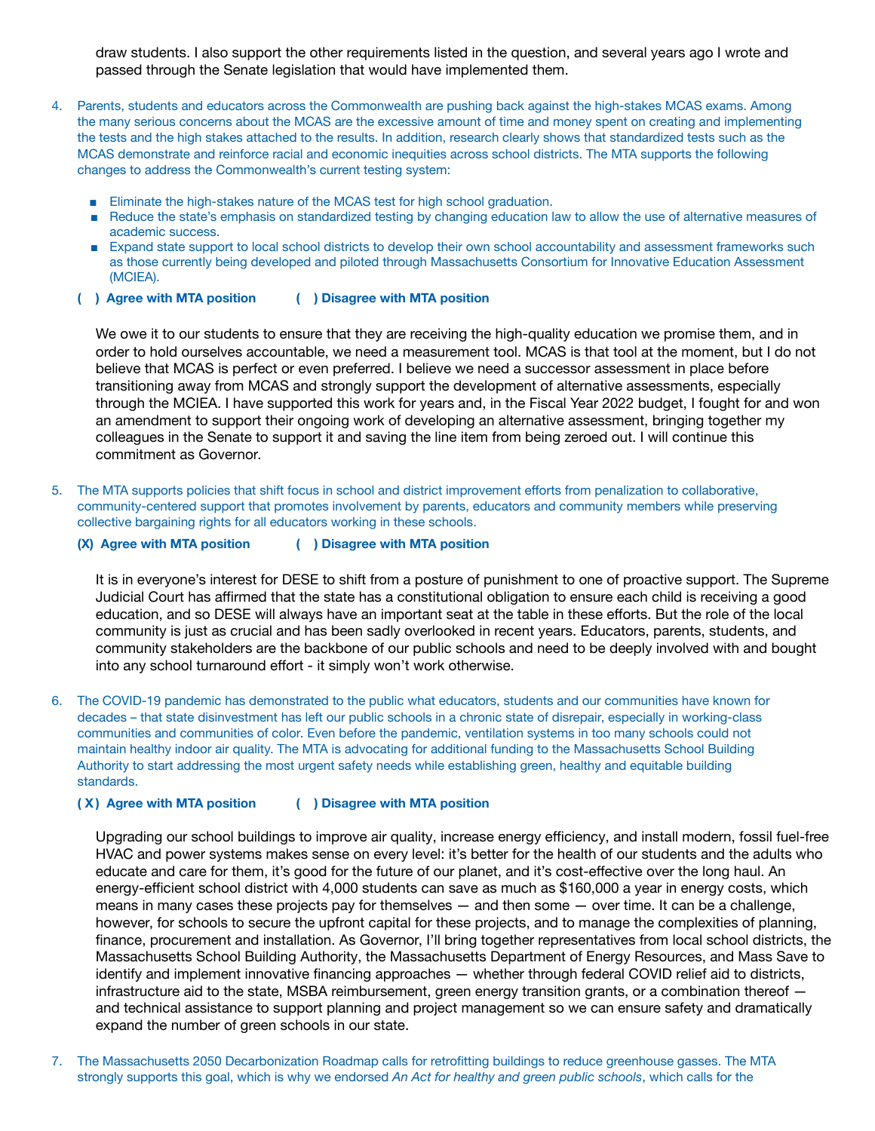draw students. I also support the other requirements listed in the question, and several years ago I wrote and passed through the Senate legislation that would have implemented them.

- 4. Parents, students and educators across the Commonwealth are pushing back against the high-stakes MCAS exams. Among the many serious concerns about the MCAS are the excessive amount of time and money spent on creating and implementing the tests and the high stakes attached to the results. In addition, research clearly shows that standardized tests such as the MCAS demonstrate and reinforce racial and economic inequities across school districts. The MTA supports the following changes to address the Commonwealth's current testing system:
	- Eliminate the high-stakes nature of the MCAS test for high school graduation.
	- Reduce the state's emphasis on standardized testing by changing education law to allow the use of alternative measures of academic success.
	- Expand state support to local school districts to develop their own school accountability and assessment frameworks such as those currently being developed and piloted through Massachusetts Consortium for Innovative Education Assessment (MCIEA).
	- **( ) Agree with MTA position ( ) Disagree with MTA position**

We owe it to our students to ensure that they are receiving the high-quality education we promise them, and in order to hold ourselves accountable, we need a measurement tool. MCAS is that tool at the moment, but I do not believe that MCAS is perfect or even preferred. I believe we need a successor assessment in place before transitioning away from MCAS and strongly support the development of alternative assessments, especially through the MCIEA. I have supported this work for years and, in the Fiscal Year 2022 budget, I fought for and won an amendment to support their ongoing work of developing an alternative assessment, bringing together my colleagues in the Senate to support it and saving the line item from being zeroed out. I will continue this commitment as Governor.

- 5. The MTA supports policies that shift focus in school and district improvement efforts from penalization to collaborative, community-centered support that promotes involvement by parents, educators and community members while preserving collective bargaining rights for all educators working in these schools.
	- **(X) Agree with MTA position ( ) Disagree with MTA position**

It is in everyone's interest for DESE to shift from a posture of punishment to one of proactive support. The Supreme Judicial Court has affirmed that the state has a constitutional obligation to ensure each child is receiving a good education, and so DESE will always have an important seat at the table in these efforts. But the role of the local community is just as crucial and has been sadly overlooked in recent years. Educators, parents, students, and community stakeholders are the backbone of our public schools and need to be deeply involved with and bought into any school turnaround effort - it simply won't work otherwise.

6. The COVID-19 pandemic has demonstrated to the public what educators, students and our communities have known for decades – that state disinvestment has left our public schools in a chronic state of disrepair, especially in working-class communities and communities of color. Even before the pandemic, ventilation systems in too many schools could not maintain healthy indoor air quality. The MTA is advocating for additional funding to the Massachusetts School Building Authority to start addressing the most urgent safety needs while establishing green, healthy and equitable building standards.

### **( X ) Agree with MTA position ( ) Disagree with MTA position**

Upgrading our school buildings to improve air quality, increase energy efficiency, and install modern, fossil fuel-free HVAC and power systems makes sense on every level: it's better for the health of our students and the adults who educate and care for them, it's good for the future of our planet, and it's cost-effective over the long haul. An energy-efficient school district with 4,000 students can save as much as \$160,000 a year in energy costs, which means in many cases these projects pay for themselves — and then some — over time. It can be a challenge, however, for schools to secure the upfront capital for these projects, and to manage the complexities of planning, finance, procurement and installation. As Governor, I'll bring together representatives from local school districts, the Massachusetts School Building Authority, the Massachusetts Department of Energy Resources, and Mass Save to identify and implement innovative financing approaches — whether through federal COVID relief aid to districts, infrastructure aid to the state, MSBA reimbursement, green energy transition grants, or a combination thereof  $$ and technical assistance to support planning and project management so we can ensure safety and dramatically expand the number of green schools in our state.

7. The Massachusetts 2050 Decarbonization Roadmap calls for retrofitting buildings to reduce greenhouse gasses. The MTA strongly supports this goal, which is why we endorsed *An Act for healthy and green public schools*, which calls for the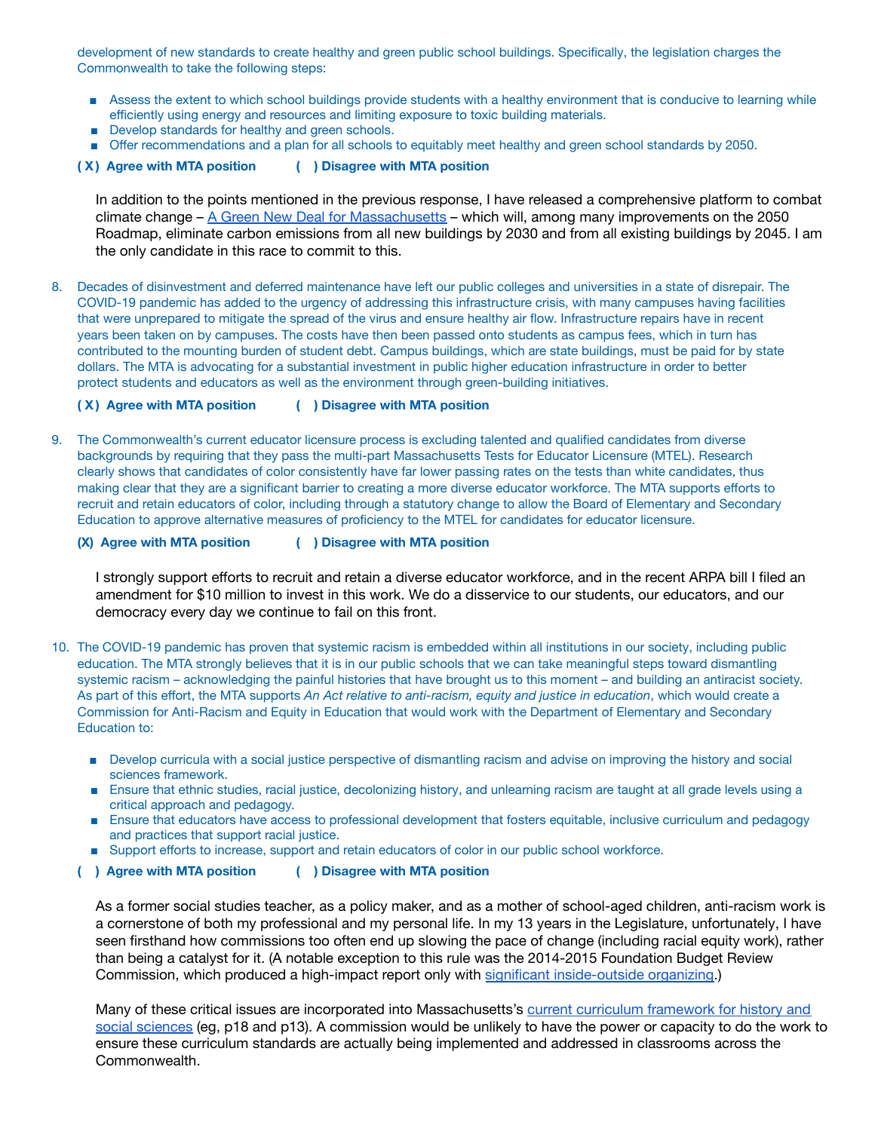development of new standards to create healthy and green public school buildings. Specifically, the legislation charges the Commonwealth to take the following steps:

- Assess the extent to which school buildings provide students with a healthy environment that is conducive to learning while efficiently using energy and resources and limiting exposure to toxic building materials.
- Develop standards for healthy and green schools.
- Offer recommendations and a plan for all schools to equitably meet healthy and green school standards by 2050.

**( X ) Agree with MTA position ( ) Disagree with MTA position**

In addition to the points mentioned in the previous response, I have released a comprehensive platform to combat climate change – A Green New Deal for [Massachusetts](https://www.soniachangdiaz.com/plan/ma-gnd) – which will, among many improvements on the 2050 Roadmap, eliminate carbon emissions from all new buildings by 2030 and from all existing buildings by 2045. I am the only candidate in this race to commit to this.

8. Decades of disinvestment and deferred maintenance have left our public colleges and universities in a state of disrepair. The COVID-19 pandemic has added to the urgency of addressing this infrastructure crisis, with many campuses having facilities that were unprepared to mitigate the spread of the virus and ensure healthy air flow. Infrastructure repairs have in recent years been taken on by campuses. The costs have then been passed onto students as campus fees, which in turn has contributed to the mounting burden of student debt. Campus buildings, which are state buildings, must be paid for by state dollars. The MTA is advocating for a substantial investment in public higher education infrastructure in order to better protect students and educators as well as the environment through green-building initiatives.

**( X ) Agree with MTA position ( ) Disagree with MTA position**

9. The Commonwealth's current educator licensure process is excluding talented and qualified candidates from diverse backgrounds by requiring that they pass the multi-part Massachusetts Tests for Educator Licensure (MTEL). Research clearly shows that candidates of color consistently have far lower passing rates on the tests than white candidates, thus making clear that they are a significant barrier to creating a more diverse educator workforce. The MTA supports efforts to recruit and retain educators of color, including through a statutory change to allow the Board of Elementary and Secondary Education to approve alternative measures of proficiency to the MTEL for candidates for educator licensure.

**(X) Agree with MTA position ( ) Disagree with MTA position**

I strongly support efforts to recruit and retain a diverse educator workforce, and in the recent ARPA bill I filed an amendment for \$10 million to invest in this work. We do a disservice to our students, our educators, and our democracy every day we continue to fail on this front.

- 10. The COVID-19 pandemic has proven that systemic racism is embedded within all institutions in our society, including public education. The MTA strongly believes that it is in our public schools that we can take meaningful steps toward dismantling systemic racism – acknowledging the painful histories that have brought us to this moment – and building an antiracist society. As part of this effort, the MTA supports *An Act relative to anti-racism, equity and justice in education*, which would create a Commission for Anti-Racism and Equity in Education that would work with the Department of Elementary and Secondary Education to:
	- Develop curricula with a social justice perspective of dismantling racism and advise on improving the history and social sciences framework.
	- Ensure that ethnic studies, racial justice, decolonizing history, and unlearning racism are taught at all grade levels using a critical approach and pedagogy.
	- Ensure that educators have access to professional development that fosters equitable, inclusive curriculum and pedagogy and practices that support racial justice.
	- Support efforts to increase, support and retain educators of color in our public school workforce.
	- **( ) Agree with MTA position ( ) Disagree with MTA position**

As a former social studies teacher, as a policy maker, and as a mother of school-aged children, anti-racism work is a cornerstone of both my professional and my personal life. In my 13 years in the Legislature, unfortunately, I have seen firsthand how commissions too often end up slowing the pace of change (including racial equity work), rather than being a catalyst for it. (A notable exception to this rule was the 2014-2015 Foundation Budget Review Commission, which produced a high-impact report only with significant [inside-outside](https://www.soniachangdiaz.com/06-23-2021-full-launch-remarks) organizing.)

Many of these critical issues are incorporated into Massachusetts's current curriculum [framework](https://www.doe.mass.edu/frameworks/hss/2018-12.pdf) for history and social [sciences](https://www.doe.mass.edu/frameworks/hss/2018-12.pdf) (eg, p18 and p13). A commission would be unlikely to have the power or capacity to do the work to ensure these curriculum standards are actually being implemented and addressed in classrooms across the Commonwealth.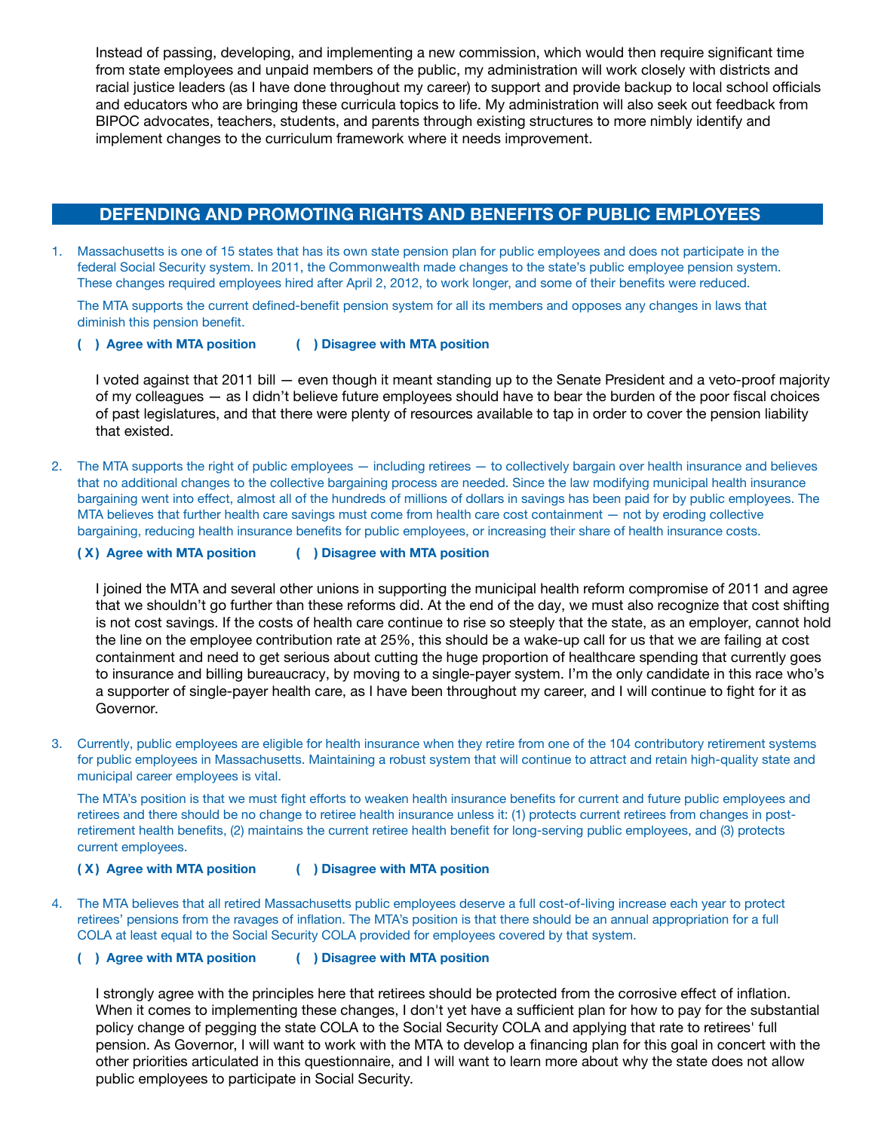Instead of passing, developing, and implementing a new commission, which would then require significant time from state employees and unpaid members of the public, my administration will work closely with districts and racial justice leaders (as I have done throughout my career) to support and provide backup to local school officials and educators who are bringing these curricula topics to life. My administration will also seek out feedback from BIPOC advocates, teachers, students, and parents through existing structures to more nimbly identify and implement changes to the curriculum framework where it needs improvement.

# **DEFENDING AND PROMOTING RIGHTS AND BENEFITS OF PUBLIC EMPLOYEES**

Massachusetts is one of 15 states that has its own state pension plan for public employees and does not participate in the federal Social Security system. In 2011, the Commonwealth made changes to the state's public employee pension system. These changes required employees hired after April 2, 2012, to work longer, and some of their benefits were reduced.

The MTA supports the current defined-benefit pension system for all its members and opposes any changes in laws that diminish this pension benefit.

**( ) Agree with MTA position ( ) Disagree with MTA position**

I voted against that 2011 bill — even though it meant standing up to the Senate President and a veto-proof majority of my colleagues — as I didn't believe future employees should have to bear the burden of the poor fiscal choices of past legislatures, and that there were plenty of resources available to tap in order to cover the pension liability that existed.

2. The MTA supports the right of public employees — including retirees — to collectively bargain over health insurance and believes that no additional changes to the collective bargaining process are needed. Since the law modifying municipal health insurance bargaining went into effect, almost all of the hundreds of millions of dollars in savings has been paid for by public employees. The MTA believes that further health care savings must come from health care cost containment — not by eroding collective bargaining, reducing health insurance benefits for public employees, or increasing their share of health insurance costs.

**( X ) Agree with MTA position ( ) Disagree with MTA position**

I joined the MTA and several other unions in supporting the municipal health reform compromise of 2011 and agree that we shouldn't go further than these reforms did. At the end of the day, we must also recognize that cost shifting is not cost savings. If the costs of health care continue to rise so steeply that the state, as an employer, cannot hold the line on the employee contribution rate at 25%, this should be a wake-up call for us that we are failing at cost containment and need to get serious about cutting the huge proportion of healthcare spending that currently goes to insurance and billing bureaucracy, by moving to a single-payer system. I'm the only candidate in this race who's a supporter of single-payer health care, as I have been throughout my career, and I will continue to fight for it as Governor.

3. Currently, public employees are eligible for health insurance when they retire from one of the 104 contributory retirement systems for public employees in Massachusetts. Maintaining a robust system that will continue to attract and retain high-quality state and municipal career employees is vital.

The MTA's position is that we must fight efforts to weaken health insurance benefits for current and future public employees and retirees and there should be no change to retiree health insurance unless it: (1) protects current retirees from changes in postretirement health benefits, (2) maintains the current retiree health benefit for long-serving public employees, and (3) protects current employees.

**( X ) Agree with MTA position ( ) Disagree with MTA position**

4. The MTA believes that all retired Massachusetts public employees deserve a full cost-of-living increase each year to protect retirees' pensions from the ravages of inflation. The MTA's position is that there should be an annual appropriation for a full COLA at least equal to the Social Security COLA provided for employees covered by that system.

### **( ) Agree with MTA position ( ) Disagree with MTA position**

I strongly agree with the principles here that retirees should be protected from the corrosive effect of inflation. When it comes to implementing these changes, I don't yet have a sufficient plan for how to pay for the substantial policy change of pegging the state COLA to the Social Security COLA and applying that rate to retirees' full pension. As Governor, I will want to work with the MTA to develop a financing plan for this goal in concert with the other priorities articulated in this questionnaire, and I will want to learn more about why the state does not allow public employees to participate in Social Security.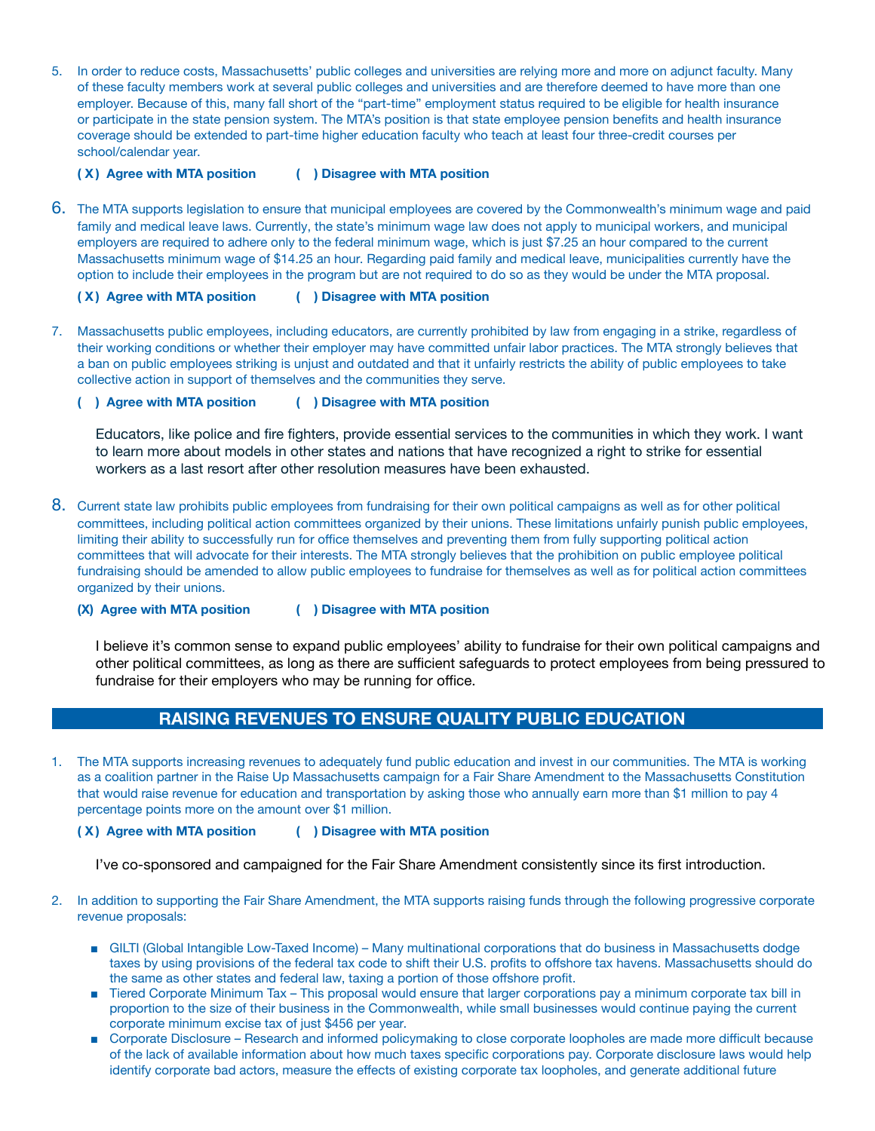5. In order to reduce costs, Massachusetts' public colleges and universities are relying more and more on adjunct faculty. Many of these faculty members work at several public colleges and universities and are therefore deemed to have more than one employer. Because of this, many fall short of the "part-time" employment status required to be eligible for health insurance or participate in the state pension system. The MTA's position is that state employee pension benefits and health insurance coverage should be extended to part-time higher education faculty who teach at least four three-credit courses per school/calendar year.

**( X ) Agree with MTA position ( ) Disagree with MTA position**

6. The MTA supports legislation to ensure that municipal employees are covered by the Commonwealth's minimum wage and paid family and medical leave laws. Currently, the state's minimum wage law does not apply to municipal workers, and municipal employers are required to adhere only to the federal minimum wage, which is just \$7.25 an hour compared to the current Massachusetts minimum wage of \$14.25 an hour. Regarding paid family and medical leave, municipalities currently have the option to include their employees in the program but are not required to do so as they would be under the MTA proposal.

**( X ) Agree with MTA position ( ) Disagree with MTA position**

7. Massachusetts public employees, including educators, are currently prohibited by law from engaging in a strike, regardless of their working conditions or whether their employer may have committed unfair labor practices. The MTA strongly believes that a ban on public employees striking is unjust and outdated and that it unfairly restricts the ability of public employees to take collective action in support of themselves and the communities they serve.

**( ) Agree with MTA position ( ) Disagree with MTA position**

Educators, like police and fire fighters, provide essential services to the communities in which they work. I want to learn more about models in other states and nations that have recognized a right to strike for essential workers as a last resort after other resolution measures have been exhausted.

8. Current state law prohibits public employees from fundraising for their own political campaigns as well as for other political committees, including political action committees organized by their unions. These limitations unfairly punish public employees, limiting their ability to successfully run for office themselves and preventing them from fully supporting political action committees that will advocate for their interests. The MTA strongly believes that the prohibition on public employee political fundraising should be amended to allow public employees to fundraise for themselves as well as for political action committees organized by their unions.

**(X) Agree with MTA position ( ) Disagree with MTA position**

I believe it's common sense to expand public employees' ability to fundraise for their own political campaigns and other political committees, as long as there are sufficient safeguards to protect employees from being pressured to fundraise for their employers who may be running for office.

## **RAISING REVENUES TO ENSURE QUALITY PUBLIC EDUCATION**

1. The MTA supports increasing revenues to adequately fund public education and invest in our communities. The MTA is working as a coalition partner in the Raise Up Massachusetts campaign for a Fair Share Amendment to the Massachusetts Constitution that would raise revenue for education and transportation by asking those who annually earn more than \$1 million to pay 4 percentage points more on the amount over \$1 million.

### **( X ) Agree with MTA position ( ) Disagree with MTA position**

I've co-sponsored and campaigned for the Fair Share Amendment consistently since its first introduction.

- 2. In addition to supporting the Fair Share Amendment, the MTA supports raising funds through the following progressive corporate revenue proposals:
	- GILTI (Global Intangible Low-Taxed Income) Many multinational corporations that do business in Massachusetts dodge taxes by using provisions of the federal tax code to shift their U.S. profits to offshore tax havens. Massachusetts should do the same as other states and federal law, taxing a portion of those offshore profit.
	- Tiered Corporate Minimum Tax This proposal would ensure that larger corporations pay a minimum corporate tax bill in proportion to the size of their business in the Commonwealth, while small businesses would continue paying the current corporate minimum excise tax of just \$456 per year.
	- Corporate Disclosure Research and informed policymaking to close corporate loopholes are made more difficult because of the lack of available information about how much taxes specific corporations pay. Corporate disclosure laws would help identify corporate bad actors, measure the effects of existing corporate tax loopholes, and generate additional future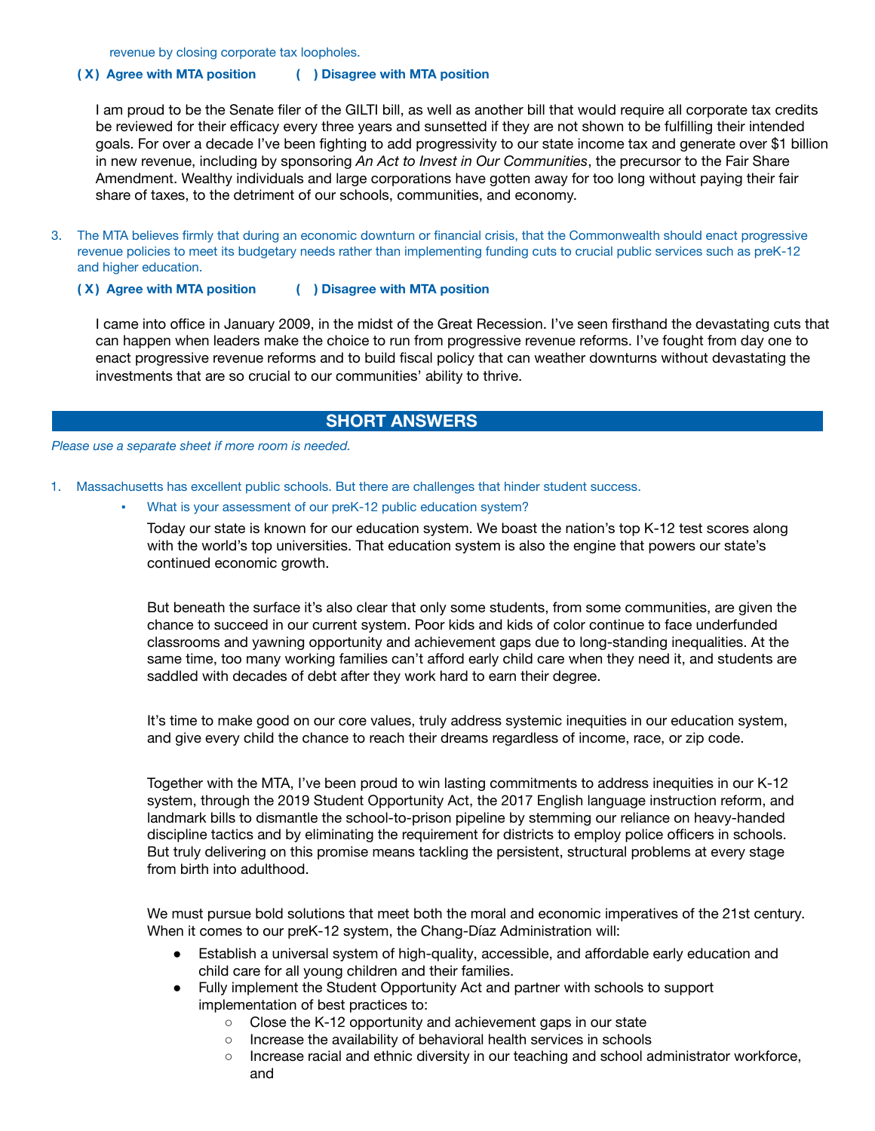revenue by closing corporate tax loopholes.

### **( X ) Agree with MTA position ( ) Disagree with MTA position**

I am proud to be the Senate filer of the GILTI bill, as well as another bill that would require all corporate tax credits be reviewed for their efficacy every three years and sunsetted if they are not shown to be fulfilling their intended goals. For over a decade I've been fighting to add progressivity to our state income tax and generate over \$1 billion in new revenue, including by sponsoring *An Act to Invest in Our Communities*, the precursor to the Fair Share Amendment. Wealthy individuals and large corporations have gotten away for too long without paying their fair share of taxes, to the detriment of our schools, communities, and economy.

- 3. The MTA believes firmly that during an economic downturn or financial crisis, that the Commonwealth should enact progressive revenue policies to meet its budgetary needs rather than implementing funding cuts to crucial public services such as preK-12 and higher education.
	-

### **( X ) Agree with MTA position ( ) Disagree with MTA position**

I came into office in January 2009, in the midst of the Great Recession. I've seen firsthand the devastating cuts that can happen when leaders make the choice to run from progressive revenue reforms. I've fought from day one to enact progressive revenue reforms and to build fiscal policy that can weather downturns without devastating the investments that are so crucial to our communities' ability to thrive.

## **SHORT ANSWERS**

#### *Please use a separate sheet if more room is needed.*

1. Massachusetts has excellent public schools. But there are challenges that hinder student success.

### What is your assessment of our preK-12 public education system?

Today our state is known for our education system. We boast the nation's top K-12 test scores along with the world's top universities. That education system is also the engine that powers our state's continued economic growth.

But beneath the surface it's also clear that only some students, from some communities, are given the chance to succeed in our current system. Poor kids and kids of color continue to face underfunded classrooms and yawning opportunity and achievement gaps due to long-standing inequalities. At the same time, too many working families can't afford early child care when they need it, and students are saddled with decades of debt after they work hard to earn their degree.

It's time to make good on our core values, truly address systemic inequities in our education system, and give every child the chance to reach their dreams regardless of income, race, or zip code.

Together with the MTA, I've been proud to win lasting commitments to address inequities in our K-12 system, through the 2019 Student Opportunity Act, the 2017 English language instruction reform, and landmark bills to dismantle the school-to-prison pipeline by stemming our reliance on heavy-handed discipline tactics and by eliminating the requirement for districts to employ police officers in schools. But truly delivering on this promise means tackling the persistent, structural problems at every stage from birth into adulthood.

We must pursue bold solutions that meet both the moral and economic imperatives of the 21st century. When it comes to our preK-12 system, the Chang-Díaz Administration will:

- Establish a universal system of high-quality, accessible, and affordable early education and child care for all young children and their families.
- Fully implement the Student Opportunity Act and partner with schools to support implementation of best practices to:
	- Close the K-12 opportunity and achievement gaps in our state
	- o Increase the availability of behavioral health services in schools
	- Increase racial and ethnic diversity in our teaching and school administrator workforce, and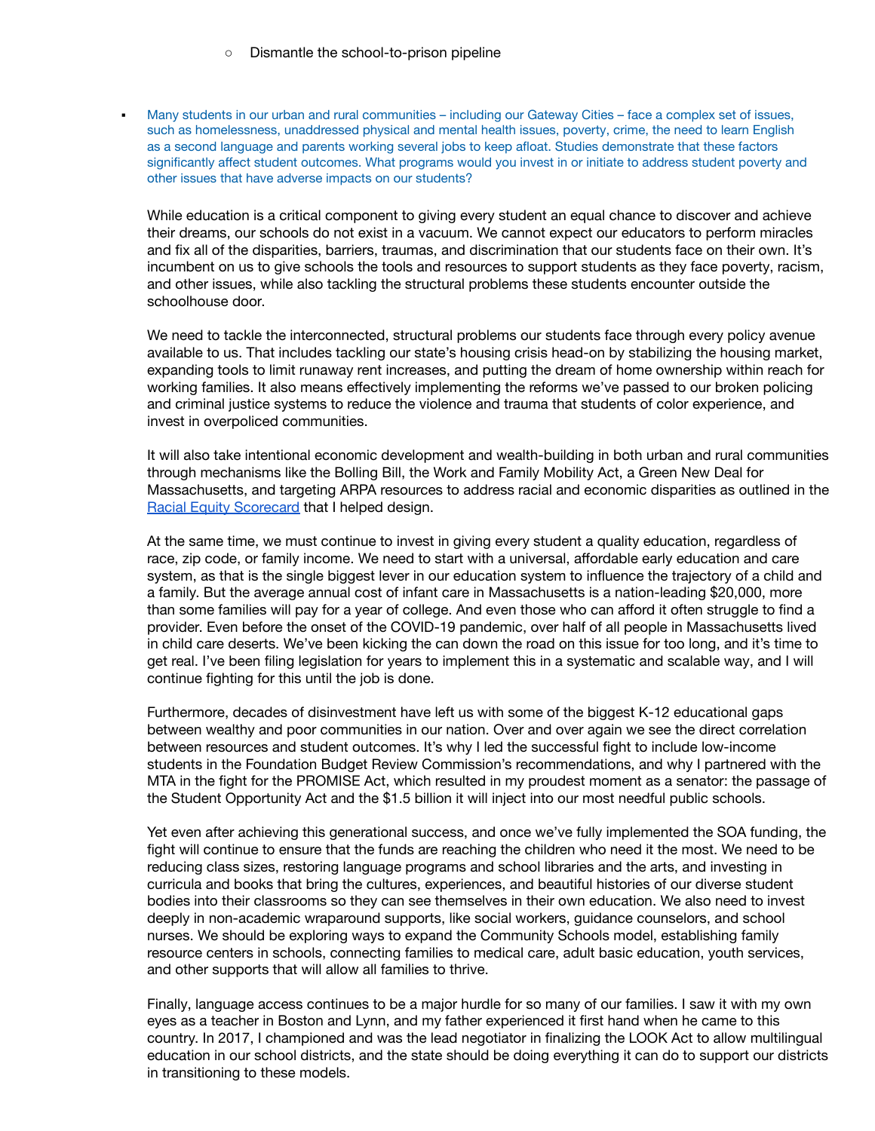Many students in our urban and rural communities – including our Gateway Cities – face a complex set of issues, such as homelessness, unaddressed physical and mental health issues, poverty, crime, the need to learn English as a second language and parents working several jobs to keep afloat. Studies demonstrate that these factors significantly affect student outcomes. What programs would you invest in or initiate to address student poverty and other issues that have adverse impacts on our students?

While education is a critical component to giving every student an equal chance to discover and achieve their dreams, our schools do not exist in a vacuum. We cannot expect our educators to perform miracles and fix all of the disparities, barriers, traumas, and discrimination that our students face on their own. It's incumbent on us to give schools the tools and resources to support students as they face poverty, racism, and other issues, while also tackling the structural problems these students encounter outside the schoolhouse door.

We need to tackle the interconnected, structural problems our students face through every policy avenue available to us. That includes tackling our state's housing crisis head-on by stabilizing the housing market, expanding tools to limit runaway rent increases, and putting the dream of home ownership within reach for working families. It also means effectively implementing the reforms we've passed to our broken policing and criminal justice systems to reduce the violence and trauma that students of color experience, and invest in overpoliced communities.

It will also take intentional economic development and wealth-building in both urban and rural communities through mechanisms like the Bolling Bill, the Work and Family Mobility Act, a Green New Deal for Massachusetts, and targeting ARPA resources to address racial and economic disparities as outlined in the Racial Equity [Scorecard](https://www.arpascorecard.com/) that I helped design.

At the same time, we must continue to invest in giving every student a quality education, regardless of race, zip code, or family income. We need to start with a universal, affordable early education and care system, as that is the single biggest lever in our education system to influence the trajectory of a child and a family. But the average annual cost of infant care in Massachusetts is a nation-leading \$20,000, more than some families will pay for a year of college. And even those who can afford it often struggle to find a provider. Even before the onset of the COVID-19 pandemic, over half of all people in Massachusetts lived in child care deserts. We've been kicking the can down the road on this issue for too long, and it's time to get real. I've been filing legislation for years to implement this in a systematic and scalable way, and I will continue fighting for this until the job is done.

Furthermore, decades of disinvestment have left us with some of the biggest K-12 educational gaps between wealthy and poor communities in our nation. Over and over again we see the direct correlation between resources and student outcomes. It's why I led the successful fight to include low-income students in the Foundation Budget Review Commission's recommendations, and why I partnered with the MTA in the fight for the PROMISE Act, which resulted in my proudest moment as a senator: the passage of the Student Opportunity Act and the \$1.5 billion it will inject into our most needful public schools.

Yet even after achieving this generational success, and once we've fully implemented the SOA funding, the fight will continue to ensure that the funds are reaching the children who need it the most. We need to be reducing class sizes, restoring language programs and school libraries and the arts, and investing in curricula and books that bring the cultures, experiences, and beautiful histories of our diverse student bodies into their classrooms so they can see themselves in their own education. We also need to invest deeply in non-academic wraparound supports, like social workers, guidance counselors, and school nurses. We should be exploring ways to expand the Community Schools model, establishing family resource centers in schools, connecting families to medical care, adult basic education, youth services, and other supports that will allow all families to thrive.

Finally, language access continues to be a major hurdle for so many of our families. I saw it with my own eyes as a teacher in Boston and Lynn, and my father experienced it first hand when he came to this country. In 2017, I championed and was the lead negotiator in finalizing the LOOK Act to allow multilingual education in our school districts, and the state should be doing everything it can do to support our districts in transitioning to these models.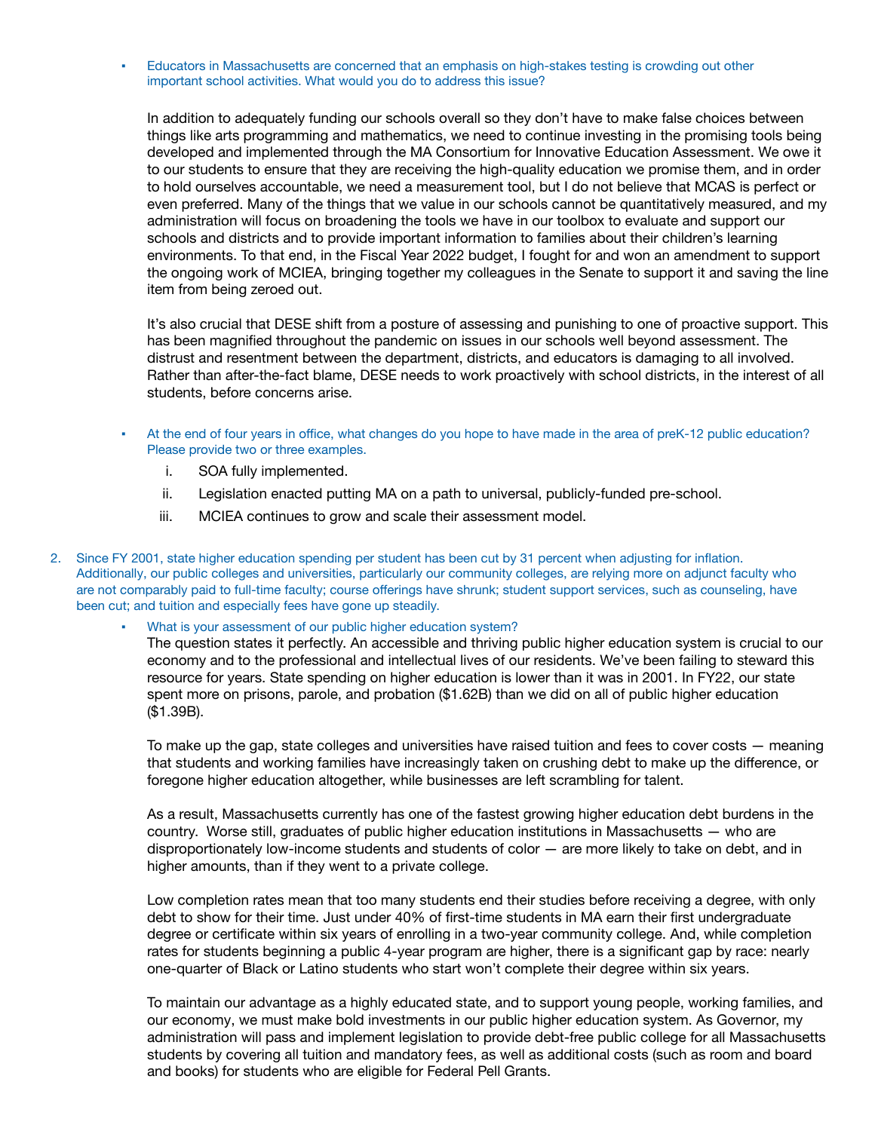Educators in Massachusetts are concerned that an emphasis on high-stakes testing is crowding out other important school activities. What would you do to address this issue?

In addition to adequately funding our schools overall so they don't have to make false choices between things like arts programming and mathematics, we need to continue investing in the promising tools being developed and implemented through the MA Consortium for Innovative Education Assessment. We owe it to our students to ensure that they are receiving the high-quality education we promise them, and in order to hold ourselves accountable, we need a measurement tool, but I do not believe that MCAS is perfect or even preferred. Many of the things that we value in our schools cannot be quantitatively measured, and my administration will focus on broadening the tools we have in our toolbox to evaluate and support our schools and districts and to provide important information to families about their children's learning environments. To that end, in the Fiscal Year 2022 budget, I fought for and won an amendment to support the ongoing work of MCIEA, bringing together my colleagues in the Senate to support it and saving the line item from being zeroed out.

It's also crucial that DESE shift from a posture of assessing and punishing to one of proactive support. This has been magnified throughout the pandemic on issues in our schools well beyond assessment. The distrust and resentment between the department, districts, and educators is damaging to all involved. Rather than after-the-fact blame, DESE needs to work proactively with school districts, in the interest of all students, before concerns arise.

- At the end of four years in office, what changes do you hope to have made in the area of preK-12 public education? Please provide two or three examples.
	- i. SOA fully implemented.
	- ii. Legislation enacted putting MA on a path to universal, publicly-funded pre-school.
	- iii. MCIEA continues to grow and scale their assessment model.
- 2. Since FY 2001, state higher education spending per student has been cut by 31 percent when adjusting for inflation. Additionally, our public colleges and universities, particularly our community colleges, are relying more on adjunct faculty who are not comparably paid to full-time faculty; course offerings have shrunk; student support services, such as counseling, have been cut; and tuition and especially fees have gone up steadily.

What is your assessment of our public higher education system?

The question states it perfectly. An accessible and thriving public higher education system is crucial to our economy and to the professional and intellectual lives of our residents. We've been failing to steward this resource for years. State spending on higher education is lower than it was in 2001. In FY22, our state spent more on prisons, parole, and probation (\$1.62B) than we did on all of public higher education (\$1.39B).

To make up the gap, state colleges and universities have raised tuition and fees to cover costs — meaning that students and working families have increasingly taken on crushing debt to make up the difference, or foregone higher education altogether, while businesses are left scrambling for talent.

As a result, Massachusetts currently has one of the fastest growing higher education debt burdens in the country. Worse still, graduates of public higher education institutions in Massachusetts — who are disproportionately low-income students and students of color — are more likely to take on debt, and in higher amounts, than if they went to a private college.

Low completion rates mean that too many students end their studies before receiving a degree, with only debt to show for their time. Just under 40% of first-time students in MA earn their first undergraduate degree or certificate within six years of enrolling in a two-year community college. And, while completion rates for students beginning a public 4-year program are higher, there is a significant gap by race: nearly one-quarter of Black or Latino students who start won't complete their degree within six years.

To maintain our advantage as a highly educated state, and to support young people, working families, and our economy, we must make bold investments in our public higher education system. As Governor, my administration will pass and implement legislation to provide debt-free public college for all Massachusetts students by covering all tuition and mandatory fees, as well as additional costs (such as room and board and books) for students who are eligible for Federal Pell Grants.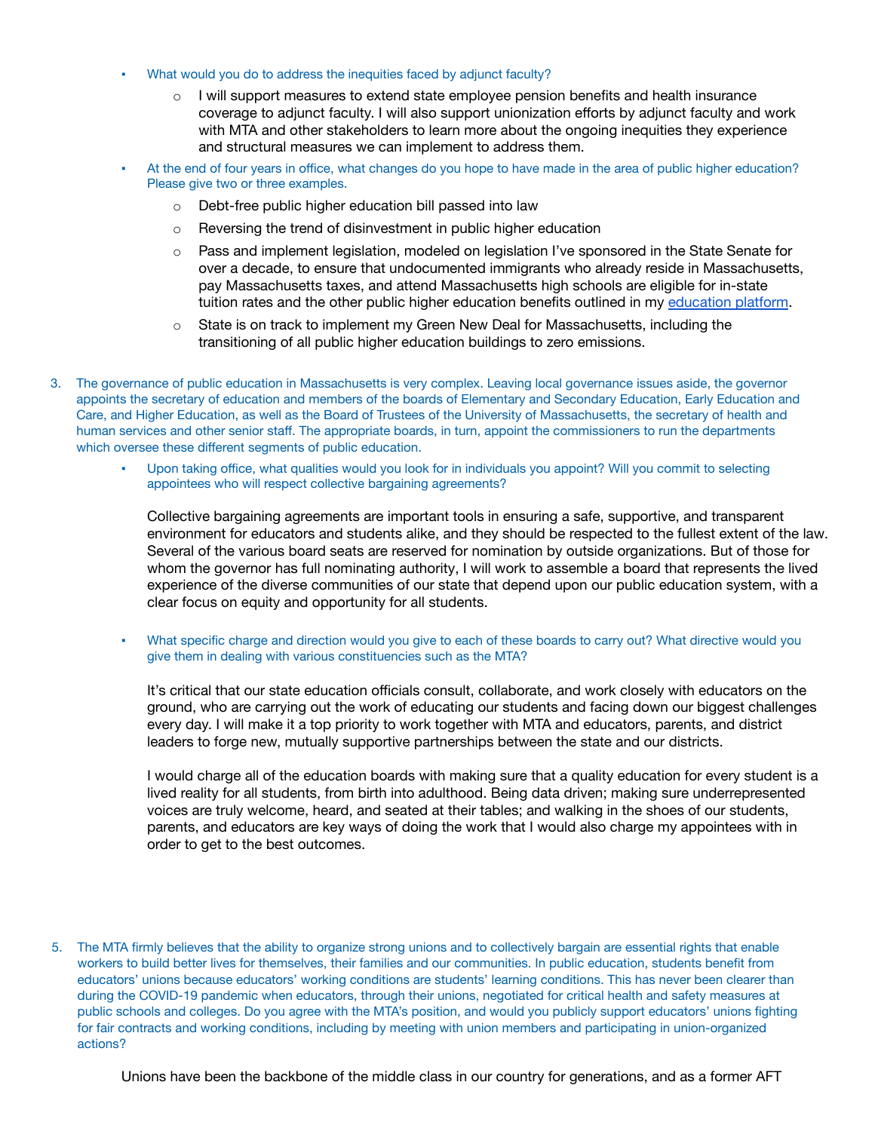- What would you do to address the inequities faced by adjunct faculty?
	- $\circ$  I will support measures to extend state employee pension benefits and health insurance coverage to adjunct faculty. I will also support unionization efforts by adjunct faculty and work with MTA and other stakeholders to learn more about the ongoing inequities they experience and structural measures we can implement to address them.
- At the end of four years in office, what changes do you hope to have made in the area of public higher education? Please give two or three examples.
	- Debt-free public higher education bill passed into law
	- o Reversing the trend of disinvestment in public higher education
	- o Pass and implement legislation, modeled on legislation I've sponsored in the State Senate for over a decade, to ensure that undocumented immigrants who already reside in Massachusetts, pay Massachusetts taxes, and attend Massachusetts high schools are eligible for in-state tuition rates and the other public higher education benefits outlined in my [education](https://www.soniachangdiaz.com/plan/education-for-all) platform.
	- $\circ$  State is on track to implement my Green New Deal for Massachusetts, including the transitioning of all public higher education buildings to zero emissions.
- 3. The governance of public education in Massachusetts is very complex. Leaving local governance issues aside, the governor appoints the secretary of education and members of the boards of Elementary and Secondary Education, Early Education and Care, and Higher Education, as well as the Board of Trustees of the University of Massachusetts, the secretary of health and human services and other senior staff. The appropriate boards, in turn, appoint the commissioners to run the departments which oversee these different segments of public education.
	- Upon taking office, what qualities would you look for in individuals you appoint? Will you commit to selecting appointees who will respect collective bargaining agreements?

Collective bargaining agreements are important tools in ensuring a safe, supportive, and transparent environment for educators and students alike, and they should be respected to the fullest extent of the law. Several of the various board seats are reserved for nomination by outside organizations. But of those for whom the governor has full nominating authority, I will work to assemble a board that represents the lived experience of the diverse communities of our state that depend upon our public education system, with a clear focus on equity and opportunity for all students.

What specific charge and direction would you give to each of these boards to carry out? What directive would you give them in dealing with various constituencies such as the MTA?

It's critical that our state education officials consult, collaborate, and work closely with educators on the ground, who are carrying out the work of educating our students and facing down our biggest challenges every day. I will make it a top priority to work together with MTA and educators, parents, and district leaders to forge new, mutually supportive partnerships between the state and our districts.

I would charge all of the education boards with making sure that a quality education for every student is a lived reality for all students, from birth into adulthood. Being data driven; making sure underrepresented voices are truly welcome, heard, and seated at their tables; and walking in the shoes of our students, parents, and educators are key ways of doing the work that I would also charge my appointees with in order to get to the best outcomes.

5. The MTA firmly believes that the ability to organize strong unions and to collectively bargain are essential rights that enable workers to build better lives for themselves, their families and our communities. In public education, students benefit from educators' unions because educators' working conditions are students' learning conditions. This has never been clearer than during the COVID-19 pandemic when educators, through their unions, negotiated for critical health and safety measures at public schools and colleges. Do you agree with the MTA's position, and would you publicly support educators' unions fighting for fair contracts and working conditions, including by meeting with union members and participating in union-organized actions?

Unions have been the backbone of the middle class in our country for generations, and as a former AFT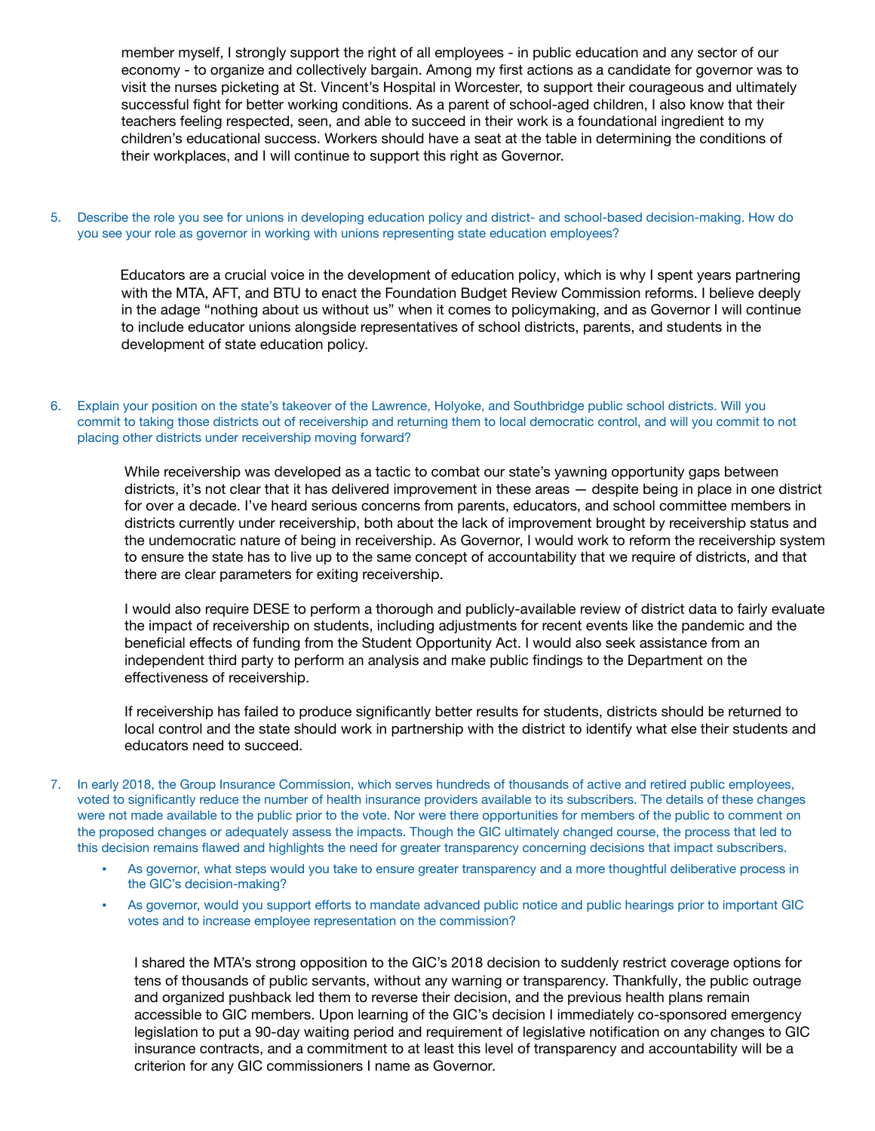member myself, I strongly support the right of all employees - in public education and any sector of our economy - to organize and collectively bargain. Among my first actions as a candidate for governor was to visit the nurses picketing at St. Vincent's Hospital in Worcester, to support their courageous and ultimately successful fight for better working conditions. As a parent of school-aged children, I also know that their teachers feeling respected, seen, and able to succeed in their work is a foundational ingredient to my children's educational success. Workers should have a seat at the table in determining the conditions of their workplaces, and I will continue to support this right as Governor.

5. Describe the role you see for unions in developing education policy and district- and school-based decision-making. How do you see your role as governor in working with unions representing state education employees?

Educators are a crucial voice in the development of education policy, which is why I spent years partnering with the MTA, AFT, and BTU to enact the Foundation Budget Review Commission reforms. I believe deeply in the adage "nothing about us without us" when it comes to policymaking, and as Governor I will continue to include educator unions alongside representatives of school districts, parents, and students in the development of state education policy.

6. Explain your position on the state's takeover of the Lawrence, Holyoke, and Southbridge public school districts. Will you commit to taking those districts out of receivership and returning them to local democratic control, and will you commit to not placing other districts under receivership moving forward?

While receivership was developed as a tactic to combat our state's yawning opportunity gaps between districts, it's not clear that it has delivered improvement in these areas — despite being in place in one district for over a decade. I've heard serious concerns from parents, educators, and school committee members in districts currently under receivership, both about the lack of improvement brought by receivership status and the undemocratic nature of being in receivership. As Governor, I would work to reform the receivership system to ensure the state has to live up to the same concept of accountability that we require of districts, and that there are clear parameters for exiting receivership.

I would also require DESE to perform a thorough and publicly-available review of district data to fairly evaluate the impact of receivership on students, including adjustments for recent events like the pandemic and the beneficial effects of funding from the Student Opportunity Act. I would also seek assistance from an independent third party to perform an analysis and make public findings to the Department on the effectiveness of receivership.

If receivership has failed to produce significantly better results for students, districts should be returned to local control and the state should work in partnership with the district to identify what else their students and educators need to succeed.

- 7. In early 2018, the Group Insurance Commission, which serves hundreds of thousands of active and retired public employees, voted to significantly reduce the number of health insurance providers available to its subscribers. The details of these changes were not made available to the public prior to the vote. Nor were there opportunities for members of the public to comment on the proposed changes or adequately assess the impacts. Though the GIC ultimately changed course, the process that led to this decision remains flawed and highlights the need for greater transparency concerning decisions that impact subscribers.
	- As governor, what steps would you take to ensure greater transparency and a more thoughtful deliberative process in the GIC's decision-making?
	- As governor, would you support efforts to mandate advanced public notice and public hearings prior to important GIC votes and to increase employee representation on the commission?

I shared the MTA's strong opposition to the GIC's 2018 decision to suddenly restrict coverage options for tens of thousands of public servants, without any warning or transparency. Thankfully, the public outrage and organized pushback led them to reverse their decision, and the previous health plans remain accessible to GIC members. Upon learning of the GIC's decision I immediately co-sponsored emergency legislation to put a 90-day waiting period and requirement of legislative notification on any changes to GIC insurance contracts, and a commitment to at least this level of transparency and accountability will be a criterion for any GIC commissioners I name as Governor.